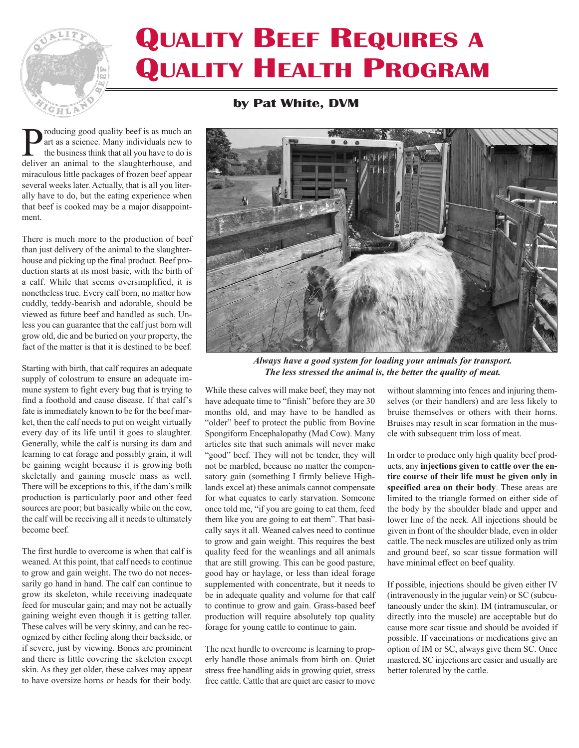## **QUALITY BEEF REQUIRES A QUALITY HEALTH PROGRAM**

## **by Pat White, DVM**

**P**roducing good quality beef is as much an art as a science. Many individuals new to the business think that all you have to do is deliver an animal to the slaughterhouse and art as a science. Many individuals new to deliver an animal to the slaughterhouse, and miraculous little packages of frozen beef appear several weeks later. Actually, that is all you literally have to do, but the eating experience when that beef is cooked may be a major disappointment.

HL

There is much more to the production of beef than just delivery of the animal to the slaughterhouse and picking up the final product. Beef production starts at its most basic, with the birth of a calf. While that seems oversimplified, it is nonetheless true. Every calf born, no matter how cuddly, teddy-bearish and adorable, should be viewed as future beef and handled as such. Unless you can guarantee that the calf just born will grow old, die and be buried on your property, the fact of the matter is that it is destined to be beef.

Starting with birth, that calf requires an adequate supply of colostrum to ensure an adequate immune system to fight every bug that is trying to find a foothold and cause disease. If that calf's fate is immediately known to be for the beef market, then the calf needs to put on weight virtually every day of its life until it goes to slaughter. Generally, while the calf is nursing its dam and learning to eat forage and possibly grain, it will be gaining weight because it is growing both skeletally and gaining muscle mass as well. There will be exceptions to this, if the dam's milk production is particularly poor and other feed sources are poor; but basically while on the cow, the calf will be receiving all it needs to ultimately become beef.

The first hurdle to overcome is when that calf is weaned. At this point, that calf needs to continue to grow and gain weight. The two do not necessarily go hand in hand. The calf can continue to grow its skeleton, while receiving inadequate feed for muscular gain; and may not be actually gaining weight even though it is getting taller. These calves will be very skinny, and can be recognized by either feeling along their backside, or if severe, just by viewing. Bones are prominent and there is little covering the skeleton except skin. As they get older, these calves may appear to have oversize horns or heads for their body.



*Always have a good system for loading your animals for transport. The less stressed the animal is, the better the quality of meat.*

While these calves will make beef, they may not have adequate time to "finish" before they are 30 months old, and may have to be handled as "older" beef to protect the public from Bovine Spongiform Encephalopathy (Mad Cow). Many articles site that such animals will never make "good" beef. They will not be tender, they will not be marbled, because no matter the compensatory gain (something I firmly believe Highlands excel at) these animals cannot compensate for what equates to early starvation. Someone once told me, "if you are going to eat them, feed them like you are going to eat them". That basically says it all. Weaned calves need to continue to grow and gain weight. This requires the best quality feed for the weanlings and all animals that are still growing. This can be good pasture, good hay or haylage, or less than ideal forage supplemented with concentrate, but it needs to be in adequate quality and volume for that calf to continue to grow and gain. Grass-based beef production will require absolutely top quality forage for young cattle to continue to gain.

The next hurdle to overcome is learning to properly handle those animals from birth on. Quiet stress free handling aids in growing quiet, stress free cattle. Cattle that are quiet are easier to move

without slamming into fences and injuring themselves (or their handlers) and are less likely to bruise themselves or others with their horns. Bruises may result in scar formation in the muscle with subsequent trim loss of meat.

In order to produce only high quality beef products, any **injections given to cattle over the entire course of their life must be given only in specified area on their body**. These areas are limited to the triangle formed on either side of the body by the shoulder blade and upper and lower line of the neck. All injections should be given in front of the shoulder blade, even in older cattle. The neck muscles are utilized only as trim and ground beef, so scar tissue formation will have minimal effect on beef quality.

If possible, injections should be given either IV (intravenously in the jugular vein) or SC (subcutaneously under the skin). IM (intramuscular, or directly into the muscle) are acceptable but do cause more scar tissue and should be avoided if possible. If vaccinations or medications give an option of IM or SC, always give them SC. Once mastered, SC injections are easier and usually are better tolerated by the cattle.